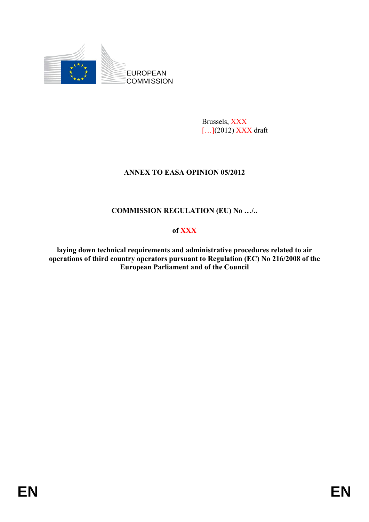

Brussels, XXX [...](2012) XXX draft

# **ANNEX TO EASA OPINION 05/2012**

# **COMMISSION REGULATION (EU) No …/..**

## **of XXX**

**laying down technical requirements and administrative procedures related to air operations of third country operators pursuant to Regulation (EC) No 216/2008 of the European Parliament and of the Council**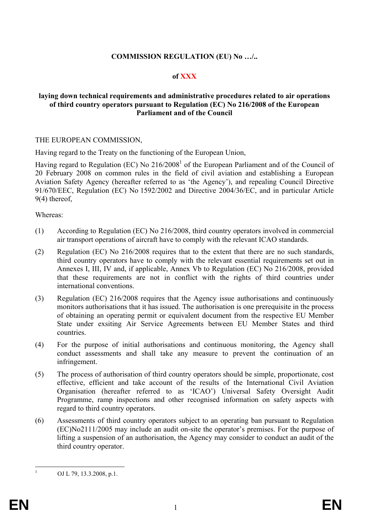#### **COMMISSION REGULATION (EU) No …/..**

## **of XXX**

#### **laying down technical requirements and administrative procedures related to air operations of third country operators pursuant to Regulation (EC) No 216/2008 of the European Parliament and of the Council**

#### THE EUROPEAN COMMISSION,

Having regard to the Treaty on the functioning of the European Union,

Having regard to Regulation (EC) No 216/2008<sup>1</sup> of the European Parliament and of the Council of 20 February 2008 on common rules in the field of civil aviation and establishing a European Aviation Safety Agency (hereafter referred to as 'the Agency'), and repealing Council Directive 91/670/EEC, Regulation (EC) No 1592/2002 and Directive 2004/36/EC, and in particular Article 9(4) thereof,

Whereas:

- (1) According to Regulation (EC) No 216/2008, third country operators involved in commercial air transport operations of aircraft have to comply with the relevant ICAO standards.
- (2) Regulation (EC) No 216/2008 requires that to the extent that there are no such standards, third country operators have to comply with the relevant essential requirements set out in Annexes I, III, IV and, if applicable, Annex Vb to Regulation (EC) No 216/2008, provided that these requirements are not in conflict with the rights of third countries under international conventions.
- (3) Regulation (EC) 216/2008 requires that the Agency issue authorisations and continuously monitors authorisations that it has issued. The authorisation is one prerequisite in the process of obtaining an operating permit or equivalent document from the respective EU Member State under exsiting Air Service Agreements between EU Member States and third countries.
- (4) For the purpose of initial authorisations and continuous monitoring, the Agency shall conduct assessments and shall take any measure to prevent the continuation of an infringement.
- (5) The process of authorisation of third country operators should be simple, proportionate, cost effective, efficient and take account of the results of the International Civil Aviation Organisation (hereafter referred to as 'ICAO') Universal Safety Oversight Audit Programme, ramp inspections and other recognised information on safety aspects with regard to third country operators.
- (6) Assessments of third country operators subject to an operating ban pursuant to Regulation (EC)No2111/2005 may include an audit on-site the operator's premises. For the purpose of lifting a suspension of an authorisation, the Agency may consider to conduct an audit of the third country operator.

 $\frac{1}{1}$ 

OJ L 79, 13.3.2008, p.1.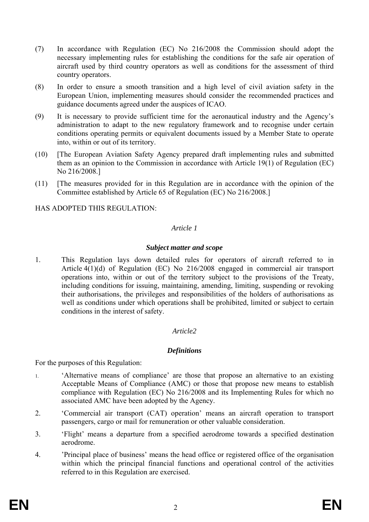- (7) In accordance with Regulation (EC) No 216/2008 the Commission should adopt the necessary implementing rules for establishing the conditions for the safe air operation of aircraft used by third country operators as well as conditions for the assessment of third country operators.
- (8) In order to ensure a smooth transition and a high level of civil aviation safety in the European Union, implementing measures should consider the recommended practices and guidance documents agreed under the auspices of ICAO.
- (9) It is necessary to provide sufficient time for the aeronautical industry and the Agency's administration to adapt to the new regulatory framework and to recognise under certain conditions operating permits or equivalent documents issued by a Member State to operate into, within or out of its territory.
- (10) [The European Aviation Safety Agency prepared draft implementing rules and submitted them as an opinion to the Commission in accordance with Article 19(1) of Regulation (EC) No 216/2008.]
- (11) [The measures provided for in this Regulation are in accordance with the opinion of the Committee established by Article 65 of Regulation (EC) No 216/2008.]

HAS ADOPTED THIS REGULATION:

## *Article 1*

#### *Subject matter and scope*

1. This Regulation lays down detailed rules for operators of aircraft referred to in Article 4(1)(d) of Regulation (EC) No 216/2008 engaged in commercial air transport operations into, within or out of the territory subject to the provisions of the Treaty, including conditions for issuing, maintaining, amending, limiting, suspending or revoking their authorisations, the privileges and responsibilities of the holders of authorisations as well as conditions under which operations shall be prohibited, limited or subject to certain conditions in the interest of safety.

# *Article2*

#### *Definitions*

For the purposes of this Regulation:

- 1. 'Alternative means of compliance' are those that propose an alternative to an existing Acceptable Means of Compliance (AMC) or those that propose new means to establish compliance with Regulation (EC) No 216/2008 and its Implementing Rules for which no associated AMC have been adopted by the Agency.
- 2. 'Commercial air transport (CAT) operation' means an aircraft operation to transport passengers, cargo or mail for remuneration or other valuable consideration.
- 3. 'Flight' means a departure from a specified aerodrome towards a specified destination aerodrome.
- 4. 'Principal place of business' means the head office or registered office of the organisation within which the principal financial functions and operational control of the activities referred to in this Regulation are exercised.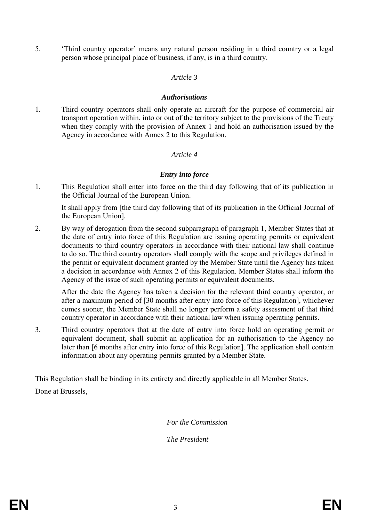5. 'Third country operator' means any natural person residing in a third country or a legal person whose principal place of business, if any, is in a third country.

#### *Article 3*

#### *Authorisations*

1. Third country operators shall only operate an aircraft for the purpose of commercial air transport operation within, into or out of the territory subject to the provisions of the Treaty when they comply with the provision of Annex 1 and hold an authorisation issued by the Agency in accordance with Annex 2 to this Regulation.

#### *Article 4*

## *Entry into force*

1. This Regulation shall enter into force on the third day following that of its publication in the Official Journal of the European Union.

It shall apply from [the third day following that of its publication in the Official Journal of the European Union].

2. By way of derogation from the second subparagraph of paragraph 1, Member States that at the date of entry into force of this Regulation are issuing operating permits or equivalent documents to third country operators in accordance with their national law shall continue to do so. The third country operators shall comply with the scope and privileges defined in the permit or equivalent document granted by the Member State until the Agency has taken a decision in accordance with Annex 2 of this Regulation. Member States shall inform the Agency of the issue of such operating permits or equivalent documents.

After the date the Agency has taken a decision for the relevant third country operator, or after a maximum period of [30 months after entry into force of this Regulation], whichever comes sooner, the Member State shall no longer perform a safety assessment of that third country operator in accordance with their national law when issuing operating permits.

3. Third country operators that at the date of entry into force hold an operating permit or equivalent document, shall submit an application for an authorisation to the Agency no later than [6 months after entry into force of this Regulation]. The application shall contain information about any operating permits granted by a Member State.

This Regulation shall be binding in its entirety and directly applicable in all Member States.

Done at Brussels,

 *For the Commission* 

 *The President*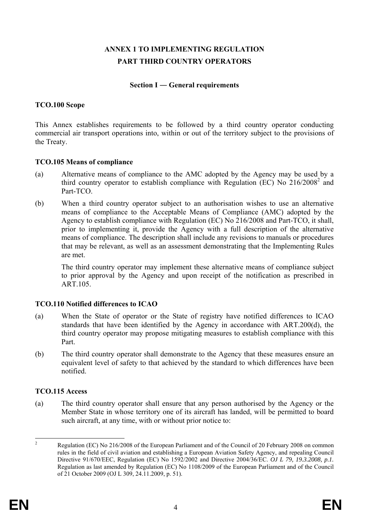# **ANNEX 1 TO IMPLEMENTING REGULATION PART THIRD COUNTRY OPERATORS**

#### **Section I ― General requirements**

## **TCO.100 Scope**

This Annex establishes requirements to be followed by a third country operator conducting commercial air transport operations into, within or out of the territory subject to the provisions of the Treaty.

## **TCO.105 Means of compliance**

- (a) Alternative means of compliance to the AMC adopted by the Agency may be used by a third country operator to establish compliance with Regulation (EC) No  $216/2008^2$  and Part-TCO.
- (b) When a third country operator subject to an authorisation wishes to use an alternative means of compliance to the Acceptable Means of Compliance (AMC) adopted by the Agency to establish compliance with Regulation (EC) No 216/2008 and Part-TCO, it shall, prior to implementing it, provide the Agency with a full description of the alternative means of compliance. The description shall include any revisions to manuals or procedures that may be relevant, as well as an assessment demonstrating that the Implementing Rules are met.

The third country operator may implement these alternative means of compliance subject to prior approval by the Agency and upon receipt of the notification as prescribed in **ART** 105

# **TCO.110 Notified differences to ICAO**

- (a) When the State of operator or the State of registry have notified differences to ICAO standards that have been identified by the Agency in accordance with ART.200(d), the third country operator may propose mitigating measures to establish compliance with this Part.
- (b) The third country operator shall demonstrate to the Agency that these measures ensure an equivalent level of safety to that achieved by the standard to which differences have been notified.

# **TCO.115 Access**

(a) The third country operator shall ensure that any person authorised by the Agency or the Member State in whose territory one of its aircraft has landed, will be permitted to board such aircraft, at any time, with or without prior notice to:

 $\frac{1}{2}$  Regulation (EC) No 216/2008 of the European Parliament and of the Council of 20 February 2008 on common rules in the field of civil aviation and establishing a European Aviation Safety Agency, and repealing Council Directive 91/670/EEC, Regulation (EC) No 1592/2002 and Directive 2004/36/EC. *OJ L 79, 19.3.2008, p.1.*  Regulation as last amended by Regulation (EC) No 1108/2009 of the European Parliament and of the Council of 21 October 2009 (OJ L 309, 24.11.2009, p. 51).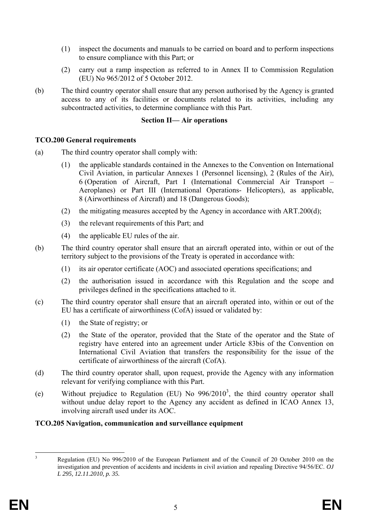- (1) inspect the documents and manuals to be carried on board and to perform inspections to ensure compliance with this Part; or
- (2) carry out a ramp inspection as referred to in Annex II to Commission Regulation (EU) No 965/2012 of 5 October 2012.
- (b) The third country operator shall ensure that any person authorised by the Agency is granted access to any of its facilities or documents related to its activities, including any subcontracted activities, to determine compliance with this Part.

#### **Section II— Air operations**

## **TCO.200 General requirements**

- (a) The third country operator shall comply with:
	- (1) the applicable standards contained in the Annexes to the Convention on International Civil Aviation, in particular Annexes 1 (Personnel licensing), 2 (Rules of the Air), 6 (Operation of Aircraft, Part I (International Commercial Air Transport – Aeroplanes) or Part III (International Operations- Helicopters), as applicable, 8 (Airworthiness of Aircraft) and 18 (Dangerous Goods);
	- (2) the mitigating measures accepted by the Agency in accordance with ART.200(d);
	- (3) the relevant requirements of this Part; and
	- (4) the applicable EU rules of the air.
- (b) The third country operator shall ensure that an aircraft operated into, within or out of the territory subject to the provisions of the Treaty is operated in accordance with:
	- (1) its air operator certificate (AOC) and associated operations specifications; and
	- (2) the authorisation issued in accordance with this Regulation and the scope and privileges defined in the specifications attached to it.
- (c) The third country operator shall ensure that an aircraft operated into, within or out of the EU has a certificate of airworthiness (CofA) issued or validated by:
	- (1) the State of registry; or
	- (2) the State of the operator, provided that the State of the operator and the State of registry have entered into an agreement under Article 83bis of the Convention on International Civil Aviation that transfers the responsibility for the issue of the certificate of airworthiness of the aircraft (CofA).
- (d) The third country operator shall, upon request, provide the Agency with any information relevant for verifying compliance with this Part.
- (e) Without prejudice to Regulation (EU) No  $996/2010^3$ , the third country operator shall without undue delay report to the Agency any accident as defined in ICAO Annex 13, involving aircraft used under its AOC.

#### **TCO.205 Navigation, communication and surveillance equipment**

 3 Regulation (EU) No 996/2010 of the European Parliament and of the Council of 20 October 2010 on the investigation and prevention of accidents and incidents in civil aviation and repealing Directive 94/56/EC. *OJ L 295, 12.11.2010, p. 35.*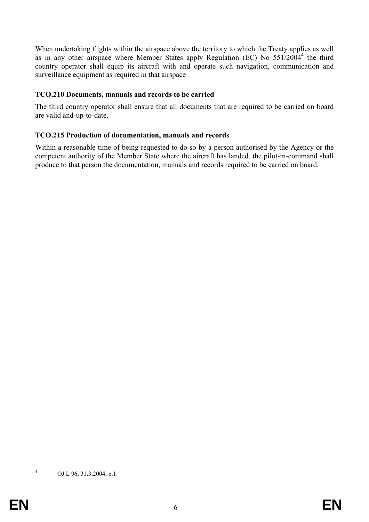When undertaking flights within the airspace above the territory to which the Treaty applies as well as in any other airspace where Member States apply Regulation (EC) No 551/2004<sup>4</sup> the third country operator shall equip its aircraft with and operate such navigation, communication and surveillance equipment as required in that airspace

#### **TCO.210 Documents, manuals and records to be carried**

The third country operator shall ensure that all documents that are required to be carried on board are valid and-up-to-date.

#### **TCO.215 Production of documentation, manuals and records**

Within a reasonable time of being requested to do so by a person authorised by the Agency or the competent authority of the Member State where the aircraft has landed, the pilot-in-command shall produce to that person the documentation, manuals and records required to be carried on board.

 $\frac{1}{4}$ 

OJ L 96, 31.3.2004, p.1.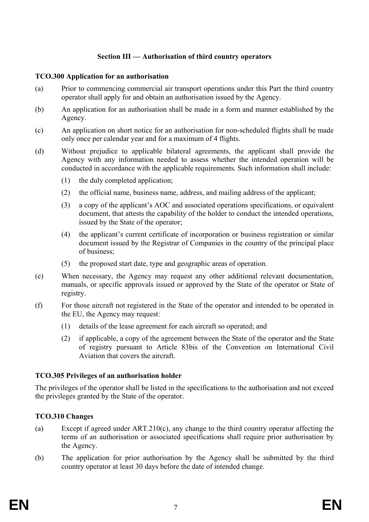# **Section III — Authorisation of third country operators**

#### **TCO.300 Application for an authorisation**

- (a) Prior to commencing commercial air transport operations under this Part the third country operator shall apply for and obtain an authorisation issued by the Agency.
- (b) An application for an authorisation shall be made in a form and manner established by the Agency.
- (c) An application on short notice for an authorisation for non-scheduled flights shall be made only once per calendar year and for a maximum of 4 flights.
- (d) Without prejudice to applicable bilateral agreements, the applicant shall provide the Agency with any information needed to assess whether the intended operation will be conducted in accordance with the applicable requirements. Such information shall include:
	- (1) the duly completed application;
	- (2) the official name, business name, address, and mailing address of the applicant;
	- (3) a copy of the applicant's AOC and associated operations specifications, or equivalent document, that attests the capability of the holder to conduct the intended operations, issued by the State of the operator;
	- (4) the applicant's current certificate of incorporation or business registration or similar document issued by the Registrar of Companies in the country of the principal place of business;
	- (5) the proposed start date, type and geographic areas of operation.
- (e) When necessary, the Agency may request any other additional relevant documentation, manuals, or specific approvals issued or approved by the State of the operator or State of registry.
- (f) For those aircraft not registered in the State of the operator and intended to be operated in the EU, the Agency may request:
	- (1) details of the lease agreement for each aircraft so operated; and
	- (2) if applicable, a copy of the agreement between the State of the operator and the State of registry pursuant to Article 83bis of the Convention on International Civil Aviation that covers the aircraft.

# **TCO.305 Privileges of an authorisation holder**

The privileges of the operator shall be listed in the specifications to the authorisation and not exceed the privileges granted by the State of the operator.

# **TCO.310 Changes**

- (a) Except if agreed under ART.210(c), any change to the third country operator affecting the terms of an authorisation or associated specifications shall require prior authorisation by the Agency.
- (b) The application for prior authorisation by the Agency shall be submitted by the third country operator at least 30 days before the date of intended change.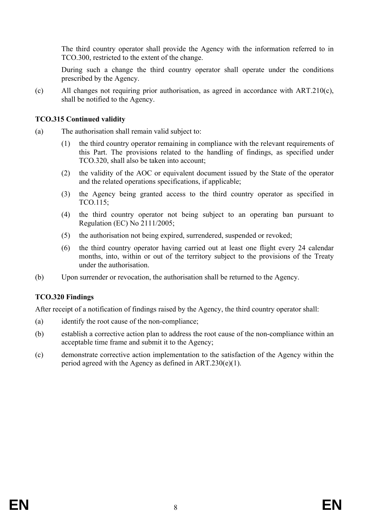The third country operator shall provide the Agency with the information referred to in TCO.300, restricted to the extent of the change.

During such a change the third country operator shall operate under the conditions prescribed by the Agency.

(c) All changes not requiring prior authorisation, as agreed in accordance with ART.210(c), shall be notified to the Agency.

#### **TCO.315 Continued validity**

- (a) The authorisation shall remain valid subject to:
	- (1) the third country operator remaining in compliance with the relevant requirements of this Part. The provisions related to the handling of findings, as specified under TCO.320, shall also be taken into account;
	- (2) the validity of the AOC or equivalent document issued by the State of the operator and the related operations specifications, if applicable;
	- (3) the Agency being granted access to the third country operator as specified in TCO.115;
	- (4) the third country operator not being subject to an operating ban pursuant to Regulation (EC) No 2111/2005;
	- (5) the authorisation not being expired, surrendered, suspended or revoked;
	- (6) the third country operator having carried out at least one flight every 24 calendar months, into, within or out of the territory subject to the provisions of the Treaty under the authorisation.
- (b) Upon surrender or revocation, the authorisation shall be returned to the Agency.

# **TCO.320 Findings**

After receipt of a notification of findings raised by the Agency, the third country operator shall:

- (a) identify the root cause of the non-compliance;
- (b) establish a corrective action plan to address the root cause of the non-compliance within an acceptable time frame and submit it to the Agency;
- (c) demonstrate corrective action implementation to the satisfaction of the Agency within the period agreed with the Agency as defined in ART.230(e)(1).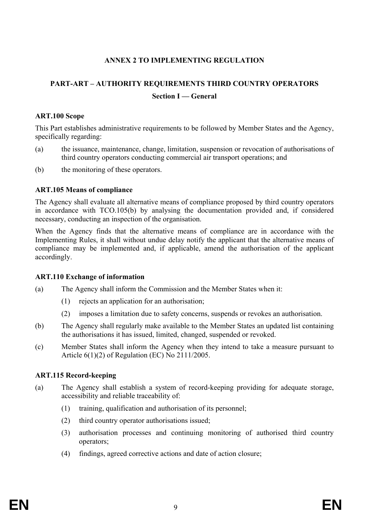## **ANNEX 2 TO IMPLEMENTING REGULATION**

# **PART-ART – AUTHORITY REQUIREMENTS THIRD COUNTRY OPERATORS Section I — General**

#### **ART.100 Scope**

This Part establishes administrative requirements to be followed by Member States and the Agency, specifically regarding:

- (a) the issuance, maintenance, change, limitation, suspension or revocation of authorisations of third country operators conducting commercial air transport operations; and
- (b) the monitoring of these operators.

#### **ART.105 Means of compliance**

The Agency shall evaluate all alternative means of compliance proposed by third country operators in accordance with TCO.105(b) by analysing the documentation provided and, if considered necessary, conducting an inspection of the organisation.

When the Agency finds that the alternative means of compliance are in accordance with the Implementing Rules, it shall without undue delay notify the applicant that the alternative means of compliance may be implemented and, if applicable, amend the authorisation of the applicant accordingly.

#### **ART.110 Exchange of information**

- (a) The Agency shall inform the Commission and the Member States when it:
	- (1) rejects an application for an authorisation;
	- (2) imposes a limitation due to safety concerns, suspends or revokes an authorisation.
- (b) The Agency shall regularly make available to the Member States an updated list containing the authorisations it has issued, limited, changed, suspended or revoked.
- (c) Member States shall inform the Agency when they intend to take a measure pursuant to Article 6(1)(2) of Regulation (EC) No 2111/2005.

#### **ART.115 Record-keeping**

- (a) The Agency shall establish a system of record-keeping providing for adequate storage, accessibility and reliable traceability of:
	- (1) training, qualification and authorisation of its personnel;
	- (2) third country operator authorisations issued;
	- (3) authorisation processes and continuing monitoring of authorised third country operators;
	- (4) findings, agreed corrective actions and date of action closure;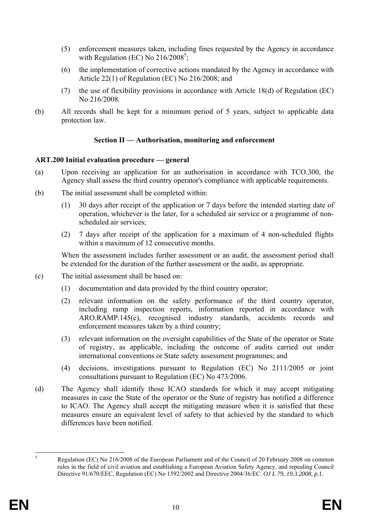- (5) enforcement measures taken, including fines requested by the Agency in accordance with Regulation (EC) No  $216/2008^5$ ;
- (6) the implementation of corrective actions mandated by the Agency in accordance with Article 22(1) of Regulation (EC) No 216/2008; and
- (7) the use of flexibility provisions in accordance with Article 18(d) of Regulation (EC) No 216/2008.
- (b) All records shall be kept for a minimum period of 5 years, subject to applicable data protection law.

# **Section II — Authorisation, monitoring and enforcement**

## **ART.200 Initial evaluation procedure — general**

- (a) Upon receiving an application for an authorisation in accordance with TCO.300, the Agency shall assess the third country operator's compliance with applicable requirements.
- (b) The initial assessment shall be completed within:
	- (1) 30 days after receipt of the application or 7 days before the intended starting date of operation, whichever is the later, for a scheduled air service or a programme of nonscheduled air services;
	- (2) 7 days after receipt of the application for a maximum of 4 non-scheduled flights within a maximum of 12 consecutive months.

When the assessment includes further assessment or an audit, the assessment period shall be extended for the duration of the further assessment or the audit, as appropriate.

- (c) The initial assessment shall be based on:
	- (1) documentation and data provided by the third country operator;
	- (2) relevant information on the safety performance of the third country operator, including ramp inspection reports, information reported in accordance with ARO.RAMP.145(c), recognised industry standards, accidents records and enforcement measures taken by a third country;
	- (3) relevant information on the oversight capabilities of the State of the operator or State of registry, as applicable, including the outcome of audits carried out under international conventions or State safety assessment programmes; and
	- (4) decisions, investigations pursuant to Regulation (EC) No 2111/2005 or joint consultations pursuant to Regulation (EC) No 473/2006.
- (d) The Agency shall identify those ICAO standards for which it may accept mitigating measures in case the State of the operator or the State of registry has notified a difference to ICAO. The Agency shall accept the mitigating measure when it is satisfied that these measures ensure an equivalent level of safety to that achieved by the standard to which differences have been notified.

 5 Regulation (EC) No 216/2008 of the European Parliament and of the Council of 20 February 2008 on common rules in the field of civil aviation and establishing a European Aviation Safety Agency, and repealing Council Directive 91/670/EEC, Regulation (EC) No 1592/2002 and Directive 2004/36/EC. *OJ L 79, 19.3.2008, p.1.*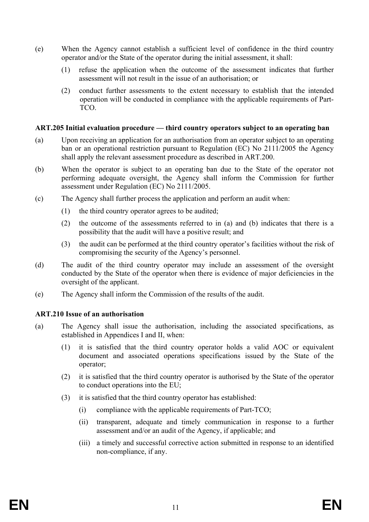- (e) When the Agency cannot establish a sufficient level of confidence in the third country operator and/or the State of the operator during the initial assessment, it shall:
	- (1) refuse the application when the outcome of the assessment indicates that further assessment will not result in the issue of an authorisation; or
	- (2) conduct further assessments to the extent necessary to establish that the intended operation will be conducted in compliance with the applicable requirements of Part- TCO.

#### **ART.205 Initial evaluation procedure — third country operators subject to an operating ban**

- (a) Upon receiving an application for an authorisation from an operator subject to an operating ban or an operational restriction pursuant to Regulation (EC) No 2111/2005 the Agency shall apply the relevant assessment procedure as described in ART.200.
- (b) When the operator is subject to an operating ban due to the State of the operator not performing adequate oversight, the Agency shall inform the Commission for further assessment under Regulation (EC) No 2111/2005.
- (c) The Agency shall further process the application and perform an audit when:
	- (1) the third country operator agrees to be audited;
	- (2) the outcome of the assessments referred to in (a) and (b) indicates that there is a possibility that the audit will have a positive result; and
	- (3) the audit can be performed at the third country operator's facilities without the risk of compromising the security of the Agency's personnel.
- (d) The audit of the third country operator may include an assessment of the oversight conducted by the State of the operator when there is evidence of major deficiencies in the oversight of the applicant.
- (e) The Agency shall inform the Commission of the results of the audit.

#### **ART.210 Issue of an authorisation**

- (a) The Agency shall issue the authorisation, including the associated specifications, as established in Appendices I and II, when:
	- (1) it is satisfied that the third country operator holds a valid AOC or equivalent document and associated operations specifications issued by the State of the operator;
	- (2) it is satisfied that the third country operator is authorised by the State of the operator to conduct operations into the EU;
	- (3) it is satisfied that the third country operator has established:
		- (i) compliance with the applicable requirements of Part-TCO;
		- (ii) transparent, adequate and timely communication in response to a further assessment and/or an audit of the Agency, if applicable; and
		- (iii) a timely and successful corrective action submitted in response to an identified non-compliance, if any.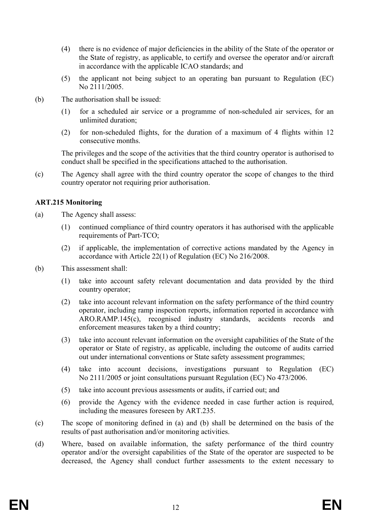- (4) there is no evidence of major deficiencies in the ability of the State of the operator or the State of registry, as applicable, to certify and oversee the operator and/or aircraft in accordance with the applicable ICAO standards; and
- (5) the applicant not being subject to an operating ban pursuant to Regulation (EC) No 2111/2005.
- (b) The authorisation shall be issued:
	- (1) for a scheduled air service or a programme of non-scheduled air services, for an unlimited duration;
	- (2) for non-scheduled flights, for the duration of a maximum of 4 flights within 12 consecutive months.

 The privileges and the scope of the activities that the third country operator is authorised to conduct shall be specified in the specifications attached to the authorisation.

(c) The Agency shall agree with the third country operator the scope of changes to the third country operator not requiring prior authorisation.

## **ART.215 Monitoring**

- (a) The Agency shall assess:
	- (1) continued compliance of third country operators it has authorised with the applicable requirements of Part-TCO;
	- (2) if applicable, the implementation of corrective actions mandated by the Agency in accordance with Article 22(1) of Regulation (EC) No 216/2008.
- (b) This assessment shall:
	- (1) take into account safety relevant documentation and data provided by the third country operator;
	- (2) take into account relevant information on the safety performance of the third country operator, including ramp inspection reports, information reported in accordance with ARO.RAMP.145(c), recognised industry standards, accidents records and enforcement measures taken by a third country;
	- (3) take into account relevant information on the oversight capabilities of the State of the operator or State of registry, as applicable, including the outcome of audits carried out under international conventions or State safety assessment programmes;
	- (4) take into account decisions, investigations pursuant to Regulation (EC) No 2111/2005 or joint consultations pursuant Regulation (EC) No 473/2006.
	- (5) take into account previous assessments or audits, if carried out; and
	- (6) provide the Agency with the evidence needed in case further action is required, including the measures foreseen by ART.235.
- (c) The scope of monitoring defined in (a) and (b) shall be determined on the basis of the results of past authorisation and/or monitoring activities.
- (d) Where, based on available information, the safety performance of the third country operator and/or the oversight capabilities of the State of the operator are suspected to be decreased, the Agency shall conduct further assessments to the extent necessary to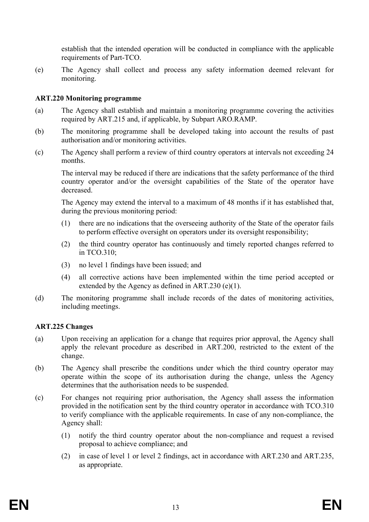establish that the intended operation will be conducted in compliance with the applicable requirements of Part-TCO.

(e) The Agency shall collect and process any safety information deemed relevant for monitoring.

#### **ART.220 Monitoring programme**

- (a) The Agency shall establish and maintain a monitoring programme covering the activities required by ART.215 and, if applicable, by Subpart ARO.RAMP.
- (b) The monitoring programme shall be developed taking into account the results of past authorisation and/or monitoring activities.
- (c) The Agency shall perform a review of third country operators at intervals not exceeding 24 months.

The interval may be reduced if there are indications that the safety performance of the third country operator and/or the oversight capabilities of the State of the operator have decreased.

The Agency may extend the interval to a maximum of 48 months if it has established that, during the previous monitoring period:

- (1) there are no indications that the overseeing authority of the State of the operator fails to perform effective oversight on operators under its oversight responsibility;
- (2) the third country operator has continuously and timely reported changes referred to in TCO.310;
- (3) no level 1 findings have been issued; and
- (4) all corrective actions have been implemented within the time period accepted or extended by the Agency as defined in ART.230 (e)(1).
- (d) The monitoring programme shall include records of the dates of monitoring activities, including meetings.

#### **ART.225 Changes**

- (a) Upon receiving an application for a change that requires prior approval, the Agency shall apply the relevant procedure as described in ART.200, restricted to the extent of the change.
- (b) The Agency shall prescribe the conditions under which the third country operator may operate within the scope of its authorisation during the change, unless the Agency determines that the authorisation needs to be suspended.
- (c) For changes not requiring prior authorisation, the Agency shall assess the information provided in the notification sent by the third country operator in accordance with TCO.310 to verify compliance with the applicable requirements. In case of any non-compliance, the Agency shall:
	- (1) notify the third country operator about the non-compliance and request a revised proposal to achieve compliance; and
	- (2) in case of level 1 or level 2 findings, act in accordance with ART.230 and ART.235, as appropriate.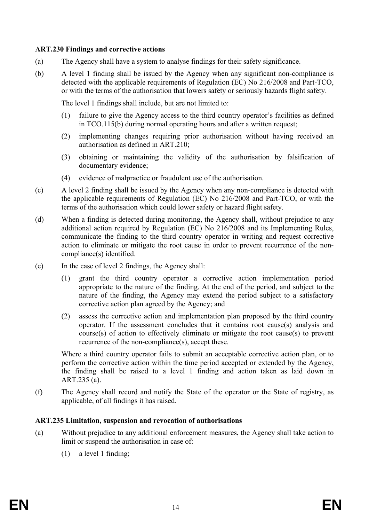#### **ART.230 Findings and corrective actions**

- (a) The Agency shall have a system to analyse findings for their safety significance.
- (b) A level 1 finding shall be issued by the Agency when any significant non-compliance is detected with the applicable requirements of Regulation (EC) No 216/2008 and Part-TCO, or with the terms of the authorisation that lowers safety or seriously hazards flight safety.

The level 1 findings shall include, but are not limited to:

- (1) failure to give the Agency access to the third country operator's facilities as defined in TCO.115(b) during normal operating hours and after a written request;
- (2) implementing changes requiring prior authorisation without having received an authorisation as defined in ART.210;
- (3) obtaining or maintaining the validity of the authorisation by falsification of documentary evidence;
- (4) evidence of malpractice or fraudulent use of the authorisation.
- (c) A level 2 finding shall be issued by the Agency when any non-compliance is detected with the applicable requirements of Regulation (EC) No 216/2008 and Part-TCO, or with the terms of the authorisation which could lower safety or hazard flight safety.
- (d) When a finding is detected during monitoring, the Agency shall, without prejudice to any additional action required by Regulation (EC) No 216/2008 and its Implementing Rules, communicate the finding to the third country operator in writing and request corrective action to eliminate or mitigate the root cause in order to prevent recurrence of the noncompliance(s) identified.
- (e) In the case of level 2 findings, the Agency shall:
	- (1) grant the third country operator a corrective action implementation period appropriate to the nature of the finding. At the end of the period, and subject to the nature of the finding, the Agency may extend the period subject to a satisfactory corrective action plan agreed by the Agency; and
	- (2) assess the corrective action and implementation plan proposed by the third country operator. If the assessment concludes that it contains root cause(s) analysis and course(s) of action to effectively eliminate or mitigate the root cause(s) to prevent recurrence of the non-compliance(s), accept these.

Where a third country operator fails to submit an acceptable corrective action plan, or to perform the corrective action within the time period accepted or extended by the Agency, the finding shall be raised to a level 1 finding and action taken as laid down in ART.235 (a).

(f) The Agency shall record and notify the State of the operator or the State of registry, as applicable, of all findings it has raised.

#### **ART.235 Limitation, suspension and revocation of authorisations**

- (a) Without prejudice to any additional enforcement measures, the Agency shall take action to limit or suspend the authorisation in case of:
	- (1) a level 1 finding;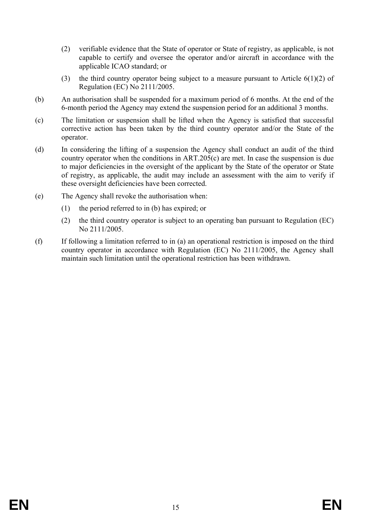- (2) verifiable evidence that the State of operator or State of registry, as applicable, is not capable to certify and oversee the operator and/or aircraft in accordance with the applicable ICAO standard; or
- (3) the third country operator being subject to a measure pursuant to Article 6(1)(2) of Regulation (EC) No 2111/2005.
- (b) An authorisation shall be suspended for a maximum period of 6 months. At the end of the 6-month period the Agency may extend the suspension period for an additional 3 months.
- (c) The limitation or suspension shall be lifted when the Agency is satisfied that successful corrective action has been taken by the third country operator and/or the State of the operator.
- (d) In considering the lifting of a suspension the Agency shall conduct an audit of the third country operator when the conditions in ART.205(c) are met. In case the suspension is due to major deficiencies in the oversight of the applicant by the State of the operator or State of registry, as applicable, the audit may include an assessment with the aim to verify if these oversight deficiencies have been corrected.
- (e) The Agency shall revoke the authorisation when:
	- (1) the period referred to in (b) has expired; or
	- (2) the third country operator is subject to an operating ban pursuant to Regulation (EC) No 2111/2005.
- (f) If following a limitation referred to in (a) an operational restriction is imposed on the third country operator in accordance with Regulation (EC) No 2111/2005, the Agency shall maintain such limitation until the operational restriction has been withdrawn.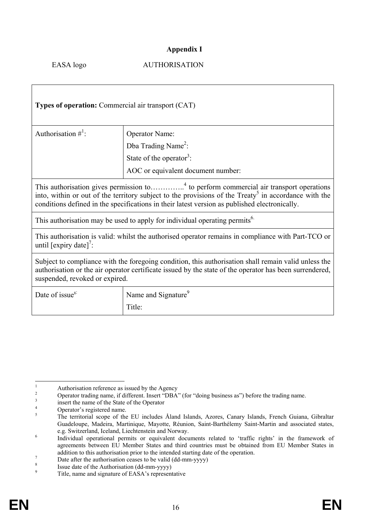## **Appendix I**

#### EASA logo AUTHORISATION

| <b>Types of operation:</b> Commercial air transport (CAT)                                                                                                                                                                                                                                                               |                                      |  |  |  |  |  |
|-------------------------------------------------------------------------------------------------------------------------------------------------------------------------------------------------------------------------------------------------------------------------------------------------------------------------|--------------------------------------|--|--|--|--|--|
| Authorisation $\#^1$ :                                                                                                                                                                                                                                                                                                  | <b>Operator Name:</b>                |  |  |  |  |  |
|                                                                                                                                                                                                                                                                                                                         | Dba Trading Name <sup>2</sup> :      |  |  |  |  |  |
|                                                                                                                                                                                                                                                                                                                         | State of the operator <sup>3</sup> : |  |  |  |  |  |
|                                                                                                                                                                                                                                                                                                                         | AOC or equivalent document number:   |  |  |  |  |  |
| This authorisation gives permission to <sup>4</sup> to perform commercial air transport operations<br>into, within or out of the territory subject to the provisions of the Treaty <sup>5</sup> in accordance with the<br>conditions defined in the specifications in their latest version as published electronically. |                                      |  |  |  |  |  |
| This authorisation may be used to apply for individual operating permits <sup>6.</sup>                                                                                                                                                                                                                                  |                                      |  |  |  |  |  |
| This authorisation is valid: whilst the authorised operator remains in compliance with Part-TCO or<br>until $\left[\text{expiry date}\right]'$ :                                                                                                                                                                        |                                      |  |  |  |  |  |
| Subject to compliance with the foregoing condition, this authorisation shall remain valid unless the<br>authorisation or the air operator certificate issued by the state of the operator has been surrendered,<br>suspended, revoked or expired.                                                                       |                                      |  |  |  |  |  |
| Date of issue <sup>8:</sup>                                                                                                                                                                                                                                                                                             | Name and Signature <sup>9</sup>      |  |  |  |  |  |
|                                                                                                                                                                                                                                                                                                                         | Title:                               |  |  |  |  |  |

 $\frac{1}{1}$ Authorisation reference as issued by the Agency

<sup>2</sup> Operator trading name, if different. Insert "DBA" (for "doing business as") before the trading name.

<sup>3</sup> insert the name of the State of the Operator

<sup>4</sup> Operator's registered name.

<sup>5</sup> The territorial scope of the EU includes Åland Islands, Azores, Canary Islands, French Guiana, Gibraltar Guadeloupe, Madeira, Martinique, Mayotte, Réunion, Saint-Barthélemy Saint-Martin and associated states, e.g. Switzerland, Iceland, Liechtenstein and Norway. 6

Individual operational permits or equivalent documents related to 'traffic rights' in the framework of agreements between EU Member States and third countries must be obtained from EU Member States in addition to this authorisation prior to the intended starting date of the operation.

Date after the authorisation ceases to be valid (dd-mm-yyyy)

<sup>8</sup> <sup>8</sup><br>Issue date of the Authorisation (dd-mm-yyyy)

Title, name and signature of EASA's representative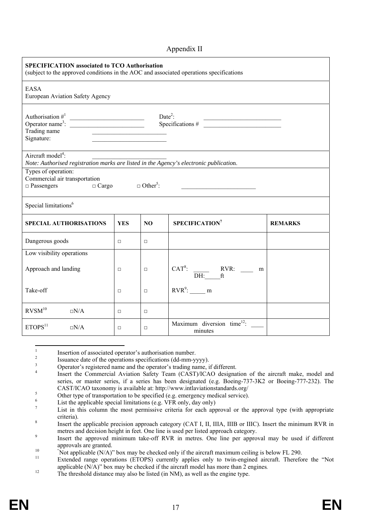#### Appendix II

| <b>SPECIFICATION associated to TCO Authorisation</b><br>(subject to the approved conditions in the AOC and associated operations specifications |                                                                          |        |                                                           |                |  |  |  |  |
|-------------------------------------------------------------------------------------------------------------------------------------------------|--------------------------------------------------------------------------|--------|-----------------------------------------------------------|----------------|--|--|--|--|
| <b>EASA</b><br>European Aviation Safety Agency                                                                                                  |                                                                          |        |                                                           |                |  |  |  |  |
| Authorisation $\#^1$<br>Operator name <sup>3</sup> :<br>Trading name<br>Signature:                                                              | Date <sup>2</sup> :<br>Date:<br>Specifications # $\frac{2}{\sqrt{2\pi}}$ |        |                                                           |                |  |  |  |  |
| Aircraft model <sup>4</sup> :<br>Note: Authorised registration marks are listed in the Agency's electronic publication.                         |                                                                          |        |                                                           |                |  |  |  |  |
| Types of operation:<br>Commercial air transportation<br>$\Box$ Cargo $\Box$ Other <sup>5</sup> :<br>$\Box$ Passengers                           |                                                                          |        |                                                           |                |  |  |  |  |
| Special limitations <sup>6</sup>                                                                                                                |                                                                          |        |                                                           |                |  |  |  |  |
| <b>SPECIAL AUTHORISATIONS</b>                                                                                                                   | <b>YES</b>                                                               | NO.    | SPECIFICATION <sup>7</sup>                                | <b>REMARKS</b> |  |  |  |  |
| Dangerous goods                                                                                                                                 | $\Box$                                                                   | $\Box$ |                                                           |                |  |  |  |  |
| Low visibility operations                                                                                                                       |                                                                          |        |                                                           |                |  |  |  |  |
| Approach and landing                                                                                                                            | $\Box$                                                                   | $\Box$ | CAT <sup>8</sup> : $\frac{RVR:}{DH:}$ $\frac{RVR:}{ft}$ m |                |  |  |  |  |
| Take-off                                                                                                                                        | $\Box$                                                                   | $\Box$ | $RVR^9$ : ________ m                                      |                |  |  |  |  |
| $\mathrm{RVSM}^{10}$<br>$\Box N/A$                                                                                                              | $\Box$                                                                   | $\Box$ |                                                           |                |  |  |  |  |
| ETOPS <sup>11</sup><br>$\square N/A$                                                                                                            | $\Box$                                                                   | $\Box$ | Maximum diversion time <sup>12</sup> :<br>minutes         |                |  |  |  |  |

 $\frac{1}{1}$ Insertion of associated operator's authorisation number.

Issuance date of the operations specifications (dd-mm-yyyy).

3 Operator's registered name and the operator's trading name, if different.

4 Insert the Commercial Aviation Safety Team (CAST)/ICAO designation of the aircraft make, model and series, or master series, if a series has been designated (e.g. Boeing-737-3K2 or Boeing-777-232). The CAST/ICAO taxonomy is available at: http://www.intlaviationstandards.org/ 5

Other type of transportation to be specified (e.g. emergency medical service).

6 List the applicable special limitations (e.g. VFR only, day only)

<sup>7</sup> List in this column the most permissive criteria for each approval or the approval type (with appropriate eriteria).

Insert the applicable precision approach category (CAT I, II, IIIA, IIIB or IIIC). Insert the minimum RVR in metres and decision height in feet. One line is used per listed approach category.

Insert the approved minimum take-off RVR in metres. One line per approval may be used if different approvals are granted.<br>
"Not applicable  $(N/A)$ " box may be checked only if the aircraft maximum ceiling is below FL 290.

 $N_{\text{tot}}$  applicable (NA)") box may be checked only if the aircraft maximum ceiling is below FL 290. 11 Extended range operations (ETOPS) currently applies only to twin-engined aircraft. Therefore the "Not applicable (N/A)" box may be checked if the aircraft model has more than 2 engines.<br>The threshold distance may also be listed (in NM), as well as the engine type.